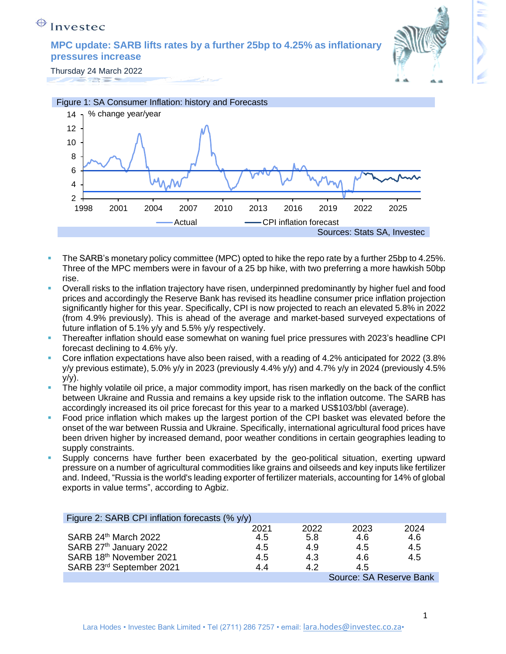**MPC update: SARB lifts rates by a further 25bp to 4.25% as inflationary pressures increase** 



Thursday 24 March 2022 



- The SARB's monetary policy committee (MPC) opted to hike the repo rate by a further 25bp to 4.25%. Three of the MPC members were in favour of a 25 bp hike, with two preferring a more hawkish 50bp rise.
- Overall risks to the inflation trajectory have risen, underpinned predominantly by higher fuel and food prices and accordingly the Reserve Bank has revised its headline consumer price inflation projection significantly higher for this year. Specifically, CPI is now projected to reach an elevated 5.8% in 2022 (from 4.9% previously). This is ahead of the average and market-based surveyed expectations of future inflation of 5.1% y/y and 5.5% y/y respectively.
- Thereafter inflation should ease somewhat on waning fuel price pressures with 2023's headline CPI forecast declining to 4.6% y/y.
- Core inflation expectations have also been raised, with a reading of 4.2% anticipated for 2022 (3.8% y/y previous estimate), 5.0% y/y in 2023 (previously 4.4% y/y) and 4.7% y/y in 2024 (previously 4.5%  $y/y$ ).
- The highly volatile oil price, a major commodity import, has risen markedly on the back of the conflict between Ukraine and Russia and remains a key upside risk to the inflation outcome. The SARB has accordingly increased its oil price forecast for this year to a marked US\$103/bbl (average).
- Food price inflation which makes up the largest portion of the CPI basket was elevated before the onset of the war between Russia and Ukraine. Specifically, international agricultural food prices have been driven higher by increased demand, poor weather conditions in certain geographies leading to supply constraints.
- Supply concerns have further been exacerbated by the geo-political situation, exerting upward pressure on a number of agricultural commodities like grains and oilseeds and key inputs like fertilizer and. Indeed, "Russia is the world's leading exporter of fertilizer materials, accounting for 14% of global exports in value terms", according to Agbiz.

| Figure 2: SARB CPI inflation forecasts (% y/y) |      |      |      |      |  |  |  |
|------------------------------------------------|------|------|------|------|--|--|--|
|                                                | 2021 | 2022 | 2023 | 2024 |  |  |  |
| SARB 24th March 2022                           | 4.5  | 5.8  | 4.6  | 4.6  |  |  |  |
| SARB 27th January 2022                         | 4.5  | 4.9  | 4.5  | 4.5  |  |  |  |
| SARB 18th November 2021                        | 4.5  | 4.3  | 4.6  | 4.5  |  |  |  |
| SARB 23rd September 2021                       | 44   | 42   | 4.5  |      |  |  |  |
| Source: SA Reserve Bank                        |      |      |      |      |  |  |  |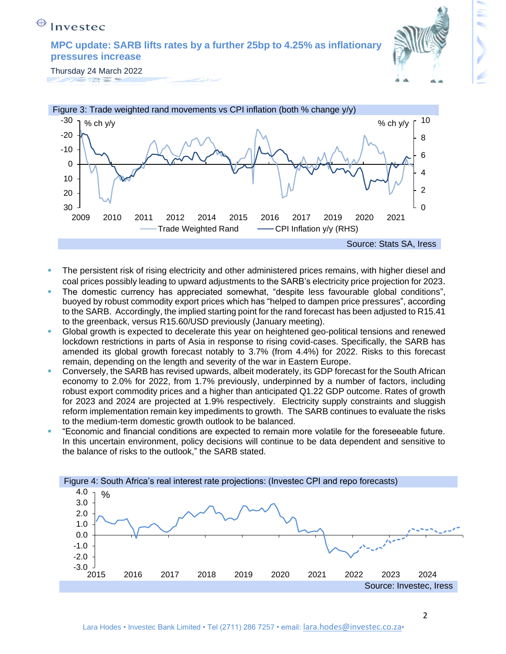**MPC update: SARB lifts rates by a further 25bp to 4.25% as inflationary pressures increase** 



Thursday 24 March 2022 



- The persistent risk of rising electricity and other administered prices remains, with higher diesel and coal prices possibly leading to upward adjustments to the SARB's electricity price projection for 2023.
- The domestic currency has appreciated somewhat, "despite less favourable global conditions", buoyed by robust commodity export prices which has "helped to dampen price pressures", according to the SARB. Accordingly, the implied starting point for the rand forecast has been adjusted to R15.41 to the greenback, versus R15.60/USD previously (January meeting).
- Global growth is expected to decelerate this year on heightened geo-political tensions and renewed lockdown restrictions in parts of Asia in response to rising covid-cases. Specifically, the SARB has amended its global growth forecast notably to 3.7% (from 4.4%) for 2022. Risks to this forecast remain, depending on the length and severity of the war in Eastern Europe.
- Conversely, the SARB has revised upwards, albeit moderately, its GDP forecast for the South African economy to 2.0% for 2022, from 1.7% previously, underpinned by a number of factors, including robust export commodity prices and a higher than anticipated Q1.22 GDP outcome. Rates of growth for 2023 and 2024 are projected at 1.9% respectively. Electricity supply constraints and sluggish reform implementation remain key impediments to growth. The SARB continues to evaluate the risks to the medium-term domestic growth outlook to be balanced.
- "Economic and financial conditions are expected to remain more volatile for the foreseeable future. In this uncertain environment, policy decisions will continue to be data dependent and sensitive to the balance of risks to the outlook," the SARB stated.

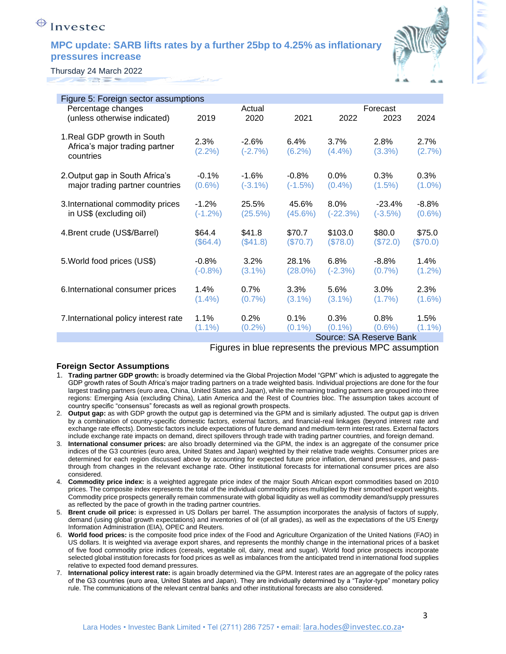#### **MPC update: SARB lifts rates by a further 25bp to 4.25% as inflationary pressures increase**



Thursday 24 March 2022

| Figure 5: Foreign sector assumptions  |           |            |            |                         |           |           |
|---------------------------------------|-----------|------------|------------|-------------------------|-----------|-----------|
| Percentage changes                    |           | Actual     |            |                         | Forecast  |           |
| (unless otherwise indicated)          | 2019      | 2020       | 2021       | 2022                    | 2023      | 2024      |
|                                       |           |            |            |                         |           |           |
| 1. Real GDP growth in South           |           |            |            |                         |           |           |
| Africa's major trading partner        | 2.3%      | $-2.6%$    | 6.4%       | 3.7%                    | 2.8%      | 2.7%      |
|                                       | $(2.2\%)$ | $(-2.7%)$  | $(6.2\%)$  | $(4.4\%)$               | $(3.3\%)$ | $(2.7\%)$ |
| countries                             |           |            |            |                         |           |           |
|                                       |           |            |            |                         |           |           |
| 2. Output gap in South Africa's       | $-0.1%$   | $-1.6%$    | $-0.8%$    | 0.0%                    | 0.3%      | 0.3%      |
| major trading partner countries       | $(0.6\%)$ | $(-3.1\%)$ | $(-1.5%)$  | $(0.4\%)$               | $(1.5\%)$ | $(1.0\%)$ |
|                                       |           |            |            |                         |           |           |
| 3. International commodity prices     | $-1.2%$   | 25.5%      | 45.6%      | 8.0%                    | $-23.4%$  | $-8.8%$   |
| in US\$ (excluding oil)               | $(-1.2%)$ | (25.5%)    | $(45.6\%)$ | $(-22.3%)$              | $(-3.5%)$ | $(0.6\%)$ |
|                                       |           |            |            |                         |           |           |
| 4. Brent crude (US\$/Barrel)          | \$64.4    | \$41.8     | \$70.7     | \$103.0                 | \$80.0    | \$75.0    |
|                                       | (\$64.4)  | (\$41.8)   | (\$70.7)   | (\$78.0)                | (\$72.0)  | (\$70.0)  |
| 5. World food prices (US\$)           | $-0.8\%$  | 3.2%       | 28.1%      | 6.8%                    | $-8.8%$   | 1.4%      |
|                                       |           |            |            |                         |           |           |
|                                       | $(-0.8%)$ | $(3.1\%)$  | $(28.0\%)$ | $(-2.3%)$               | (0.7%     | $(1.2\%)$ |
| 6. International consumer prices      | 1.4%      | $0.7\%$    | 3.3%       | 5.6%                    | 3.0%      | 2.3%      |
|                                       |           |            |            |                         |           |           |
|                                       | $(1.4\%)$ | (0.7%      | $(3.1\%)$  | $(3.1\%)$               | $(1.7\%)$ | $(1.6\%)$ |
| 7. International policy interest rate | 1.1%      | 0.2%       | 0.1%       | 0.3%                    | 0.8%      | 1.5%      |
|                                       | $(1.1\%)$ |            | $(0.1\%)$  | $(0.1\%)$               | $(0.6\%)$ | $(1.1\%)$ |
|                                       |           | $(0.2\%)$  |            |                         |           |           |
|                                       |           |            |            | Source: SA Reserve Bank |           |           |

Figures in blue represents the previous MPC assumption

#### **Foreign Sector Assumptions**

- 1. **Trading partner GDP growth:** is broadly determined via the Global Projection Model "GPM" which is adjusted to aggregate the GDP growth rates of South Africa's major trading partners on a trade weighted basis. Individual projections are done for the four largest trading partners (euro area, China, United States and Japan), while the remaining trading partners are grouped into three regions: Emerging Asia (excluding China), Latin America and the Rest of Countries bloc. The assumption takes account of country specific "consensus" forecasts as well as regional growth prospects.
- 2. **Output gap:** as with GDP growth the output gap is determined via the GPM and is similarly adjusted. The output gap is driven by a combination of country-specific domestic factors, external factors, and financial-real linkages (beyond interest rate and exchange rate effects). Domestic factors include expectations of future demand and medium-term interest rates. External factors include exchange rate impacts on demand, direct spillovers through trade with trading partner countries, and foreign demand.
- 3. **International consumer prices:** are also broadly determined via the GPM, the index is an aggregate of the consumer price indices of the G3 countries (euro area, United States and Japan) weighted by their relative trade weights. Consumer prices are determined for each region discussed above by accounting for expected future price inflation, demand pressures, and passthrough from changes in the relevant exchange rate. Other institutional forecasts for international consumer prices are also considered.
- 4. **Commodity price index:** is a weighted aggregate price index of the major South African export commodities based on 2010 prices. The composite index represents the total of the individual commodity prices multiplied by their smoothed export weights. Commodity price prospects generally remain commensurate with global liquidity as well as commodity demand/supply pressures as reflected by the pace of growth in the trading partner countries.
- 5. **Brent crude oil price:** is expressed in US Dollars per barrel. The assumption incorporates the analysis of factors of supply, demand (using global growth expectations) and inventories of oil (of all grades), as well as the expectations of the US Energy Information Administration (EIA), OPEC and Reuters.
- 6. **World food prices:** is the composite food price index of the Food and Agriculture Organization of the United Nations (FAO) in US dollars. It is weighted via average export shares, and represents the monthly change in the international prices of a basket of five food commodity price indices (cereals, vegetable oil, dairy, meat and sugar). World food price prospects incorporate selected global institution forecasts for food prices as well as imbalances from the anticipated trend in international food supplies relative to expected food demand pressures.
- 7. **International policy interest rate:** is again broadly determined via the GPM. Interest rates are an aggregate of the policy rates of the G3 countries (euro area, United States and Japan). They are individually determined by a "Taylor-type" monetary policy rule. The communications of the relevant central banks and other institutional forecasts are also considered.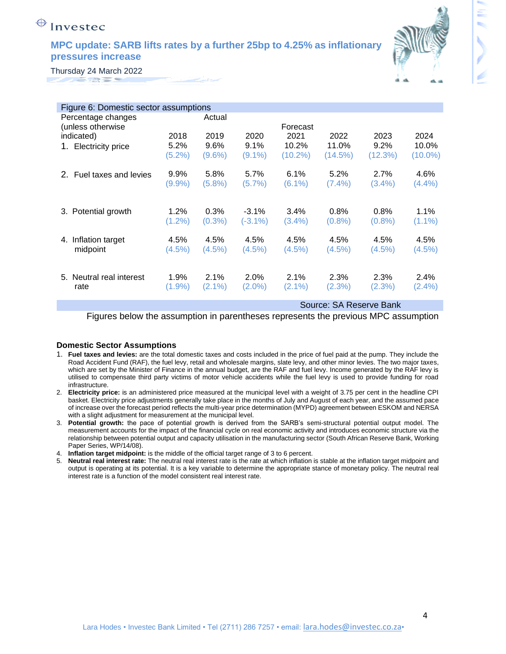#### **MPC update: SARB lifts rates by a further 25bp to 4.25% as inflationary pressures increase**



Thursday 24 March 2022

| Figure 6: Domestic sector assumptions |           |           |            |                          |            |           |            |  |  |
|---------------------------------------|-----------|-----------|------------|--------------------------|------------|-----------|------------|--|--|
| Percentage changes                    |           | Actual    |            |                          |            |           |            |  |  |
| (unless otherwise                     |           | Forecast  |            |                          |            |           |            |  |  |
| indicated)                            | 2018      | 2019      | 2020       | 2021                     | 2022       | 2023      | 2024       |  |  |
| 1. Electricity price                  | 5.2%      | 9.6%      | 9.1%       | 10.2%                    | 11.0%      | 9.2%      | 10.0%      |  |  |
|                                       | $(5.2\%)$ | (9.6%)    | $(9.1\%)$  | $(10.2\%)$               | $(14.5\%)$ | (12.3%)   | $(10.0\%)$ |  |  |
| 2. Fuel taxes and levies              | $9.9\%$   | 5.8%      | 5.7%       | 6.1%                     | 5.2%       | 2.7%      | 4.6%       |  |  |
|                                       | $(9.9\%)$ | $(5.8\%)$ | (5.7%)     | $(6.1\%)$                | (7.4%)     | $(3.4\%)$ | $(4.4\%)$  |  |  |
|                                       |           |           |            |                          |            |           |            |  |  |
| 3. Potential growth                   | 1.2%      | 0.3%      | $-3.1%$    | 3.4%                     | 0.8%       | 0.8%      | 1.1%       |  |  |
|                                       | $(1.2\%)$ | $(0.3\%)$ | $(-3.1\%)$ | $(3.4\%)$                | (0.8%      | $(0.8\%)$ | $(1.1\%)$  |  |  |
| Inflation target<br>4.                | 4.5%      | 4.5%      | 4.5%       | 4.5%                     | 4.5%       | 4.5%      | 4.5%       |  |  |
| midpoint                              | (4.5%)    | (4.5%)    | (4.5%)     | $(4.5\%)$                | $(4.5\%)$  | $(4.5\%)$ | (4.5%)     |  |  |
|                                       |           |           |            |                          |            |           |            |  |  |
| 5. Neutral real interest              | 1.9%      | $2.1\%$   | 2.0%       | 2.1%                     | 2.3%       | 2.3%      | 2.4%       |  |  |
| rate                                  | $(1.9\%)$ | $(2.1\%)$ | $(2.0\%)$  | $(2.1\%)$                | (2.3%)     | (2.3%)    | $(2.4\%)$  |  |  |
|                                       |           |           |            | Course: CA Dessaure Dank |            |           |            |  |  |

Source: SA Reserve Bank

Figures below the assumption in parentheses represents the previous MPC assumption

#### **Domestic Sector Assumptions**

- 1. **Fuel taxes and levies:** are the total domestic taxes and costs included in the price of fuel paid at the pump. They include the Road Accident Fund (RAF), the fuel levy, retail and wholesale margins, slate levy, and other minor levies. The two major taxes, which are set by the Minister of Finance in the annual budget, are the RAF and fuel levy. Income generated by the RAF levy is utilised to compensate third party victims of motor vehicle accidents while the fuel levy is used to provide funding for road infrastructure.
- 2. **Electricity price:** is an administered price measured at the municipal level with a weight of 3.75 per cent in the headline CPI basket. Electricity price adjustments generally take place in the months of July and August of each year, and the assumed pace of increase over the forecast period reflects the multi-year price determination (MYPD) agreement between ESKOM and NERSA with a slight adjustment for measurement at the municipal level.
- 3. **Potential growth:** the pace of potential growth is derived from the SARB's semi-structural potential output model. The measurement accounts for the impact of the financial cycle on real economic activity and introduces economic structure via the relationship between potential output and capacity utilisation in the manufacturing sector (South African Reserve Bank, Working Paper Series, WP/14/08).
- 4. **Inflation target midpoint:** is the middle of the official target range of 3 to 6 percent.
- 5. **Neutral real interest rate:** The neutral real interest rate is the rate at which inflation is stable at the inflation target midpoint and output is operating at its potential. It is a key variable to determine the appropriate stance of monetary policy. The neutral real interest rate is a function of the model consistent real interest rate.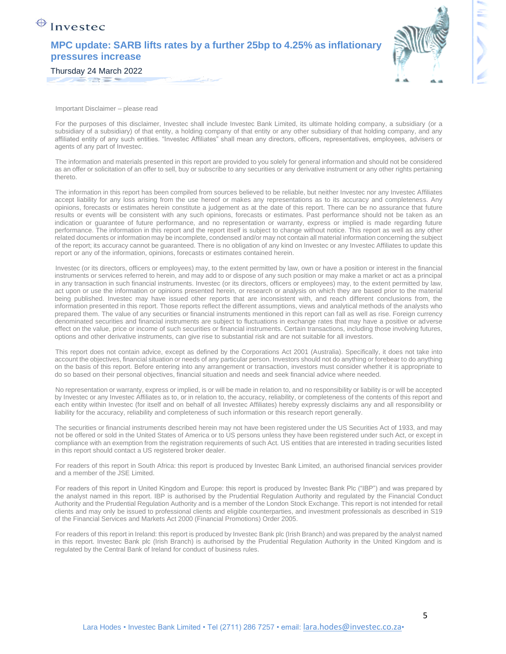### **MPC update: SARB lifts rates by a further 25bp to 4.25% as inflationary pressures increase**



 $\bigoplus$  Investec

Important Disclaimer – please read

For the purposes of this disclaimer, Investec shall include Investec Bank Limited, its ultimate holding company, a subsidiary (or a subsidiary of a subsidiary) of that entity, a holding company of that entity or any other subsidiary of that holding company, and any affiliated entity of any such entities. "Investec Affiliates" shall mean any directors, officers, representatives, employees, advisers or agents of any part of Investec.

The information and materials presented in this report are provided to you solely for general information and should not be considered as an offer or solicitation of an offer to sell, buy or subscribe to any securities or any derivative instrument or any other rights pertaining thereto.

The information in this report has been compiled from sources believed to be reliable, but neither Investec nor any Investec Affiliates accept liability for any loss arising from the use hereof or makes any representations as to its accuracy and completeness. Any opinions, forecasts or estimates herein constitute a judgement as at the date of this report. There can be no assurance that future results or events will be consistent with any such opinions, forecasts or estimates. Past performance should not be taken as an indication or guarantee of future performance, and no representation or warranty, express or implied is made regarding future performance. The information in this report and the report itself is subject to change without notice. This report as well as any other related documents or information may be incomplete, condensed and/or may not contain all material information concerning the subject of the report; its accuracy cannot be guaranteed. There is no obligation of any kind on Investec or any Investec Affiliates to update this report or any of the information, opinions, forecasts or estimates contained herein.

Investec (or its directors, officers or employees) may, to the extent permitted by law, own or have a position or interest in the financial instruments or services referred to herein, and may add to or dispose of any such position or may make a market or act as a principal in any transaction in such financial instruments. Investec (or its directors, officers or employees) may, to the extent permitted by law, act upon or use the information or opinions presented herein, or research or analysis on which they are based prior to the material being published. Investec may have issued other reports that are inconsistent with, and reach different conclusions from, the information presented in this report. Those reports reflect the different assumptions, views and analytical methods of the analysts who prepared them. The value of any securities or financial instruments mentioned in this report can fall as well as rise. Foreign currency denominated securities and financial instruments are subject to fluctuations in exchange rates that may have a positive or adverse effect on the value, price or income of such securities or financial instruments. Certain transactions, including those involving futures, options and other derivative instruments, can give rise to substantial risk and are not suitable for all investors.

This report does not contain advice, except as defined by the Corporations Act 2001 (Australia). Specifically, it does not take into account the objectives, financial situation or needs of any particular person. Investors should not do anything or forebear to do anything on the basis of this report. Before entering into any arrangement or transaction, investors must consider whether it is appropriate to do so based on their personal objectives, financial situation and needs and seek financial advice where needed.

No representation or warranty, express or implied, is or will be made in relation to, and no responsibility or liability is or will be accepted by Investec or any Investec Affiliates as to, or in relation to, the accuracy, reliability, or completeness of the contents of this report and each entity within Investec (for itself and on behalf of all Investec Affiliates) hereby expressly disclaims any and all responsibility or liability for the accuracy, reliability and completeness of such information or this research report generally.

The securities or financial instruments described herein may not have been registered under the US Securities Act of 1933, and may not be offered or sold in the United States of America or to US persons unless they have been registered under such Act, or except in compliance with an exemption from the registration requirements of such Act. US entities that are interested in trading securities listed in this report should contact a US registered broker dealer.

For readers of this report in South Africa: this report is produced by Investec Bank Limited, an authorised financial services provider and a member of the JSE Limited.

For readers of this report in United Kingdom and Europe: this report is produced by Investec Bank Plc ("IBP") and was prepared by the analyst named in this report. IBP is authorised by the Prudential Regulation Authority and regulated by the Financial Conduct Authority and the Prudential Regulation Authority and is a member of the London Stock Exchange. This report is not intended for retail clients and may only be issued to professional clients and eligible counterparties, and investment professionals as described in S19 of the Financial Services and Markets Act 2000 (Financial Promotions) Order 2005.

For readers of this report in Ireland: this report is produced by Investec Bank plc (Irish Branch) and was prepared by the analyst named in this report. Investec Bank plc (Irish Branch) is authorised by the Prudential Regulation Authority in the United Kingdom and is regulated by the Central Bank of Ireland for conduct of business rules.